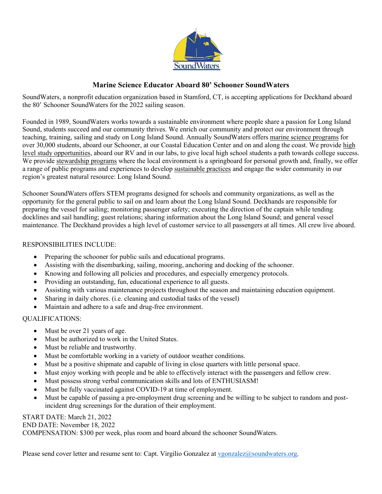

## **Marine Science Educator Aboard 80' Schooner SoundWaters**

SoundWaters, a nonprofit education organization based in Stamford, CT, is accepting applications for Deckhand aboard the 80' Schooner SoundWaters for the 2022 sailing season.

Founded in 1989, SoundWaters works towards a sustainable environment where people share a passion for Long Island Sound, students succeed and our community thrives. We enrich our community and protect our environment through teaching, training, sailing and study on Long Island Sound. Annually SoundWaters offers marine science programs for over 30,000 students, aboard our Schooner, at our Coastal Education Center and on and along the coast. We provide high level study opportunities, aboard our RV and in our labs, to give local high school students a path towards college success. We provide stewardship programs where the local environment is a springboard for personal growth and, finally, we offer a range of public programs and experiences to develop sustainable practices and engage the wider community in our region's greatest natural resource: Long Island Sound.

Schooner SoundWaters offers STEM programs designed for schools and community organizations, as well as the opportunity for the general public to sail on and learn about the Long Island Sound. Deckhands are responsible for preparing the vessel for sailing; monitoring passenger safety; executing the direction of the captain while tending docklines and sail handling; guest relations; sharing information about the Long Island Sound; and general vessel maintenance. The Deckhand provides a high level of customer service to all passengers at all times. All crew live aboard.

## RESPONSIBILITIES INCLUDE:

- Preparing the schooner for public sails and educational programs.
- Assisting with the disembarking, sailing, mooring, anchoring and docking of the schooner.
- Knowing and following all policies and procedures, and especially emergency protocols.
- Providing an outstanding, fun, educational experience to all guests.
- Assisting with various maintenance projects throughout the season and maintaining education equipment.
- Sharing in daily chores. (i.e. cleaning and custodial tasks of the vessel)
- Maintain and adhere to a safe and drug-free environment.

## QUALIFICATIONS:

- Must be over 21 years of age.
- Must be authorized to work in the United States.
- Must be reliable and trustworthy.
- Must be comfortable working in a variety of outdoor weather conditions.
- Must be a positive shipmate and capable of living in close quarters with little personal space.
- Must enjoy working with people and be able to effectively interact with the passengers and fellow crew.
- Must possess strong verbal communication skills and lots of ENTHUSIASM!
- Must be fully vaccinated against COVID-19 at time of employment.
- Must be capable of passing a pre-employment drug screening and be willing to be subject to random and postincident drug screenings for the duration of their employment.

## START DATE: March 21, 2022

END DATE: November 18, 2022

COMPENSATION: \$300 per week, plus room and board aboard the schooner SoundWaters.

Please send cover letter and resume sent to: Capt. Virgilio Gonzalez at vgonzalez $@$ soundwaters.org.